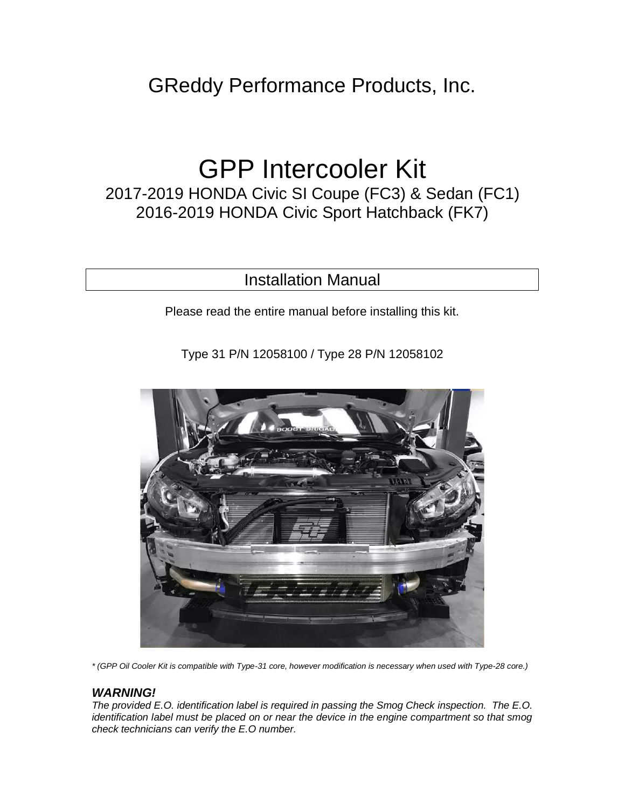# GReddy Performance Products, Inc.

# GPP Intercooler Kit

2017-2019 HONDA Civic SI Coupe (FC3) & Sedan (FC1) 2016-2019 HONDA Civic Sport Hatchback (FK7)

# Installation Manual

Please read the entire manual before installing this kit.

Type 31 P/N 12058100 / Type 28 P/N 12058102



*\* (GPP Oil Cooler Kit is compatible with Type-31 core, however modification is necessary when used with Type-28 core.)*

#### *WARNING!*

*The provided E.O. identification label is required in passing the Smog Check inspection. The E.O. identification label must be placed on or near the device in the engine compartment so that smog check technicians can verify the E.O number.*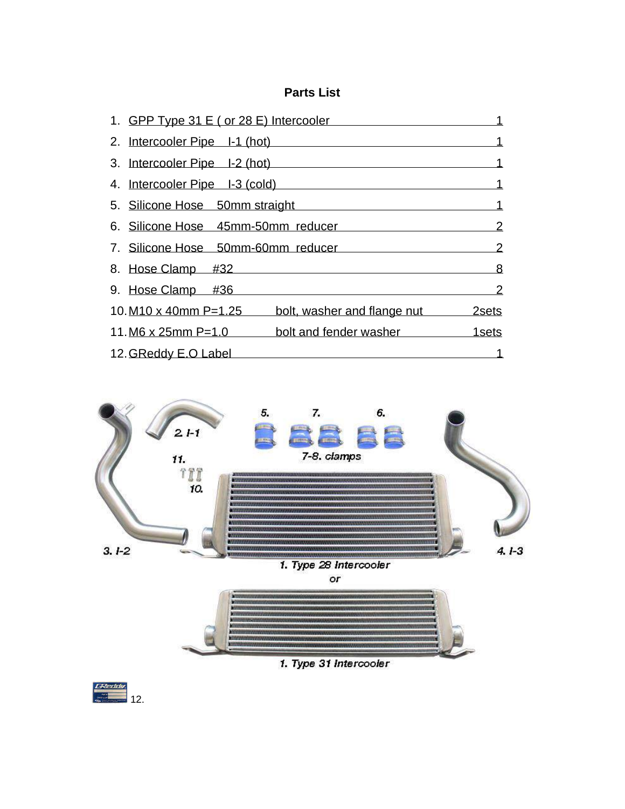# **Parts List**

| 1. GPP Type 31 E ( or 28 E) Intercooler                 |               |
|---------------------------------------------------------|---------------|
| 2. Intercooler Pipe I-1 (hot)                           |               |
| 3. Intercooler Pipe I-2 (hot)                           |               |
| 4. Intercooler Pipe I-3 (cold)                          | 1             |
| 5. Silicone Hose 50mm straight                          | 1             |
| 6. Silicone Hose 45mm-50mm reducer                      | $\mathcal{P}$ |
| 7. Silicone Hose 50mm-60mm reducer                      | $\mathcal{P}$ |
| 8. Hose Clamp #32                                       | 8             |
| 9. Hose Clamp $\#36$                                    | 2             |
| 10. M10 x 40mm P=1.25 bolt, washer and flange nut 2sets |               |
| $11. M6 \times 25$ mm P=1.0<br>bolt and fender washer   | 1sets         |
| 12. GReddy E.O Label                                    |               |



1. Type 31 Intercooler

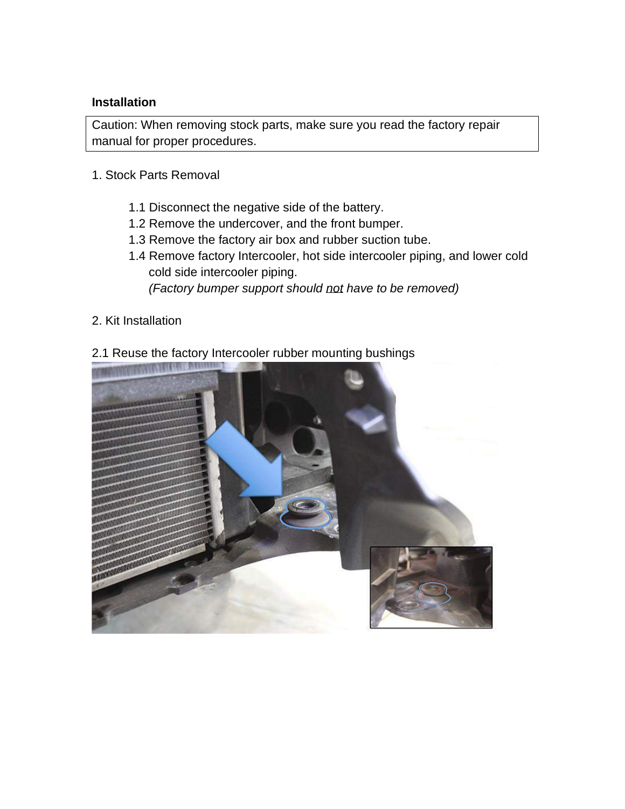### **Installation**

Caution: When removing stock parts, make sure you read the factory repair manual for proper procedures.

- 1. Stock Parts Removal
	- 1.1 Disconnect the negative side of the battery.
	- 1.2 Remove the undercover, and the front bumper.
	- 1.3 Remove the factory air box and rubber suction tube.
	- 1.4 Remove factory Intercooler, hot side intercooler piping, and lower cold cold side intercooler piping.  *(Factory bumper support should not have to be removed)*
- 2. Kit Installation

## 2.1 Reuse the factory Intercooler rubber mounting bushings

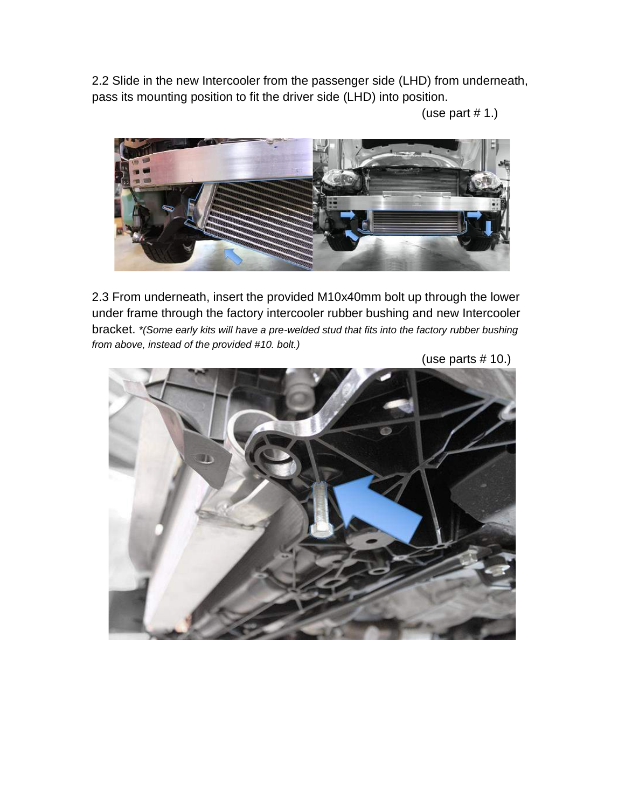2.2 Slide in the new Intercooler from the passenger side (LHD) from underneath, pass its mounting position to fit the driver side (LHD) into position.

(use part  $# 1$ .)



2.3 From underneath, insert the provided M10x40mm bolt up through the lower under frame through the factory intercooler rubber bushing and new Intercooler bracket. *\*(Some early kits will have a pre-welded stud that fits into the factory rubber bushing from above, instead of the provided #10. bolt.)*

![](_page_3_Picture_4.jpeg)

(use parts # 10.)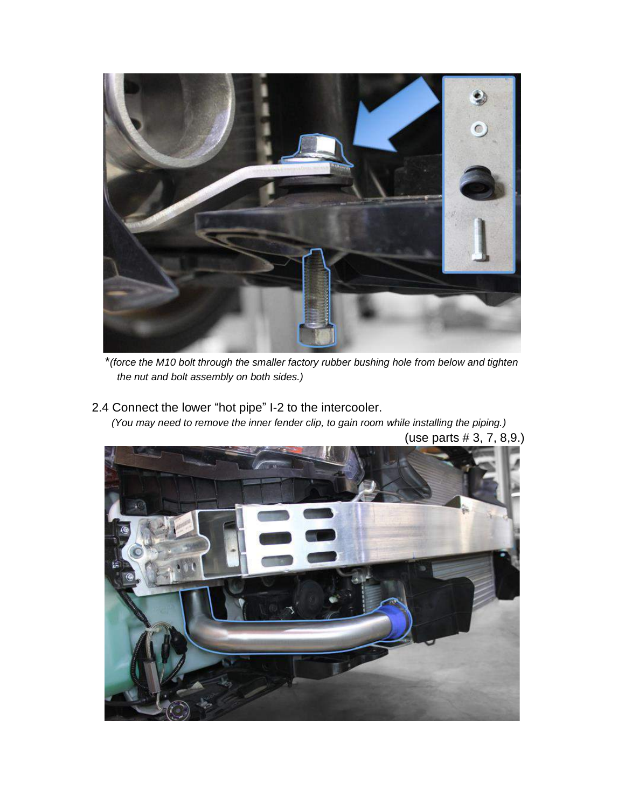![](_page_4_Picture_0.jpeg)

 \**(force the M10 bolt through the smaller factory rubber bushing hole from below and tighten the nut and bolt assembly on both sides.)*

2.4 Connect the lower "hot pipe" I-2 to the intercooler.  *(You may need to remove the inner fender clip, to gain room while installing the piping.)*

![](_page_4_Picture_3.jpeg)

(use parts # 3, 7, 8,9.)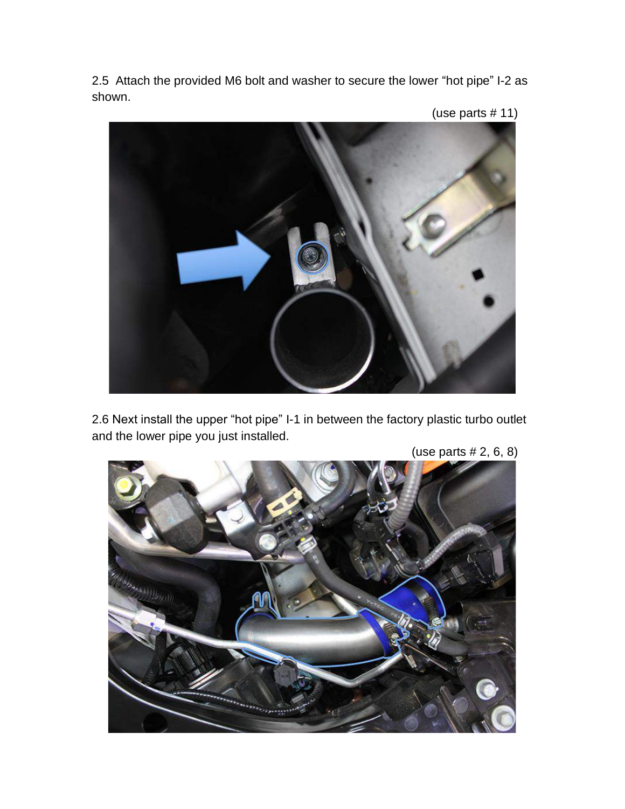2.5 Attach the provided M6 bolt and washer to secure the lower "hot pipe" I-2 as shown.

![](_page_5_Picture_1.jpeg)

2.6 Next install the upper "hot pipe" I-1 in between the factory plastic turbo outlet and the lower pipe you just installed.

![](_page_5_Picture_3.jpeg)

(use parts # 2, 6, 8)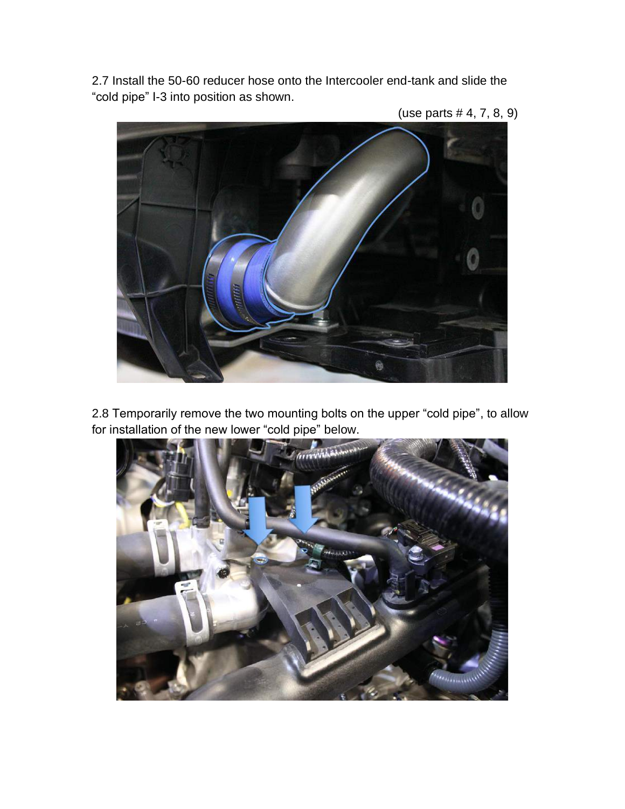2.7 Install the 50-60 reducer hose onto the Intercooler end-tank and slide the "cold pipe" I-3 into position as shown.

- @
- (use parts # 4, 7, 8, 9)

2.8 Temporarily remove the two mounting bolts on the upper "cold pipe", to allow for installation of the new lower "cold pipe" below.

![](_page_6_Picture_4.jpeg)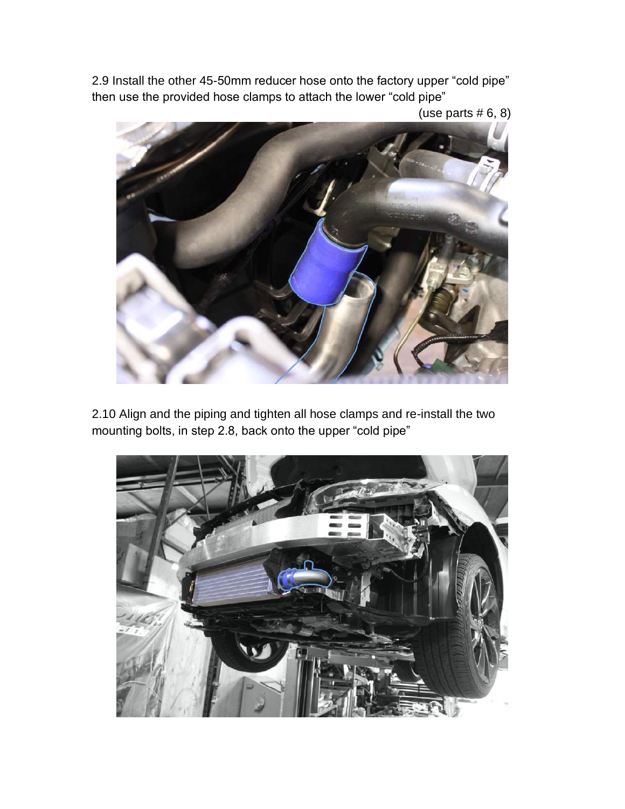2.9 Install the other 45-50mm reducer hose onto the factory upper "cold pipe" then use the provided hose clamps to attach the lower "cold pipe"

(use parts  $# 6, 8$ )

![](_page_7_Picture_2.jpeg)

2.10 Align and the piping and tighten all hose clamps and re-install the two mounting bolts, in step 2.8, back onto the upper "cold pipe"

![](_page_7_Picture_4.jpeg)